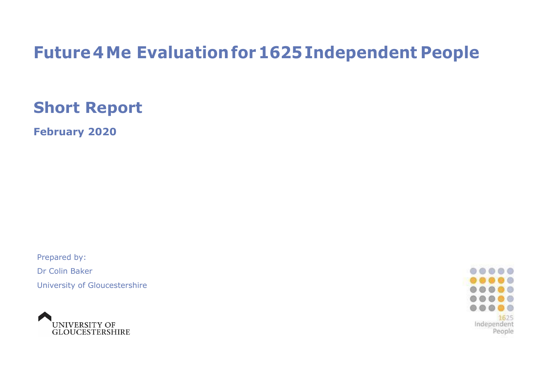# **Future 4Me Evaluation for1625Independent People**

# **Short Report**

**February 2020**

Prepared by: Dr Colin Baker

University of Gloucestershire



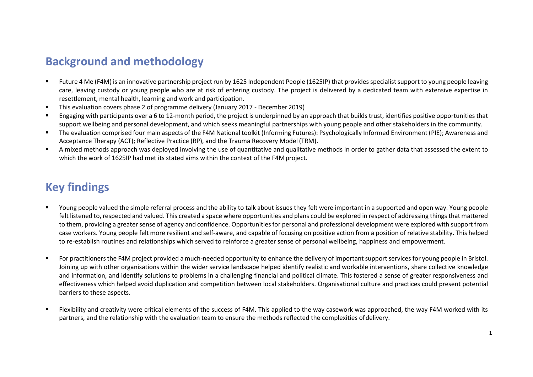# **Background and methodology**

- Future 4 Me (F4M) is an innovative partnership project run by 1625 Independent People (1625IP) that provides specialist support to young people leaving care, leaving custody or young people who are at risk of entering custody. The project is delivered by a dedicated team with extensive expertise in resettlement, mental health, learning and work and participation.
- This evaluation covers phase 2 of programme delivery (January 2017 December 2019)
- Engaging with participants over a 6 to 12-month period, the project is underpinned by an approach that builds trust, identifies positive opportunities that support wellbeing and personal development, and which seeks meaningful partnerships with young people and other stakeholders in the community.
- The evaluation comprised four main aspects of the F4M National toolkit (Informing Futures): Psychologically Informed Environment (PIE); Awareness and Acceptance Therapy (ACT); Reflective Practice (RP), and the Trauma Recovery Model (TRM).
- A mixed methods approach was deployed involving the use of quantitative and qualitative methods in order to gather data that assessed the extent to which the work of 1625IP had met its stated aims within the context of the F4M project.

# **Key findings**

- Young people valued the simple referral process and the ability to talk about issues they felt were important in a supported and open way. Young people felt listened to, respected and valued. This created a space where opportunities and plans could be explored in respect of addressing things that mattered to them, providing a greater sense of agency and confidence. Opportunities for personal and professional development were explored with support from case workers. Young people felt more resilient and self-aware, and capable of focusing on positive action from a position of relative stability. This helped to re-establish routines and relationships which served to reinforce a greater sense of personal wellbeing, happiness and empowerment.
- For practitioners the F4M project provided a much-needed opportunity to enhance the delivery of important support services for young people in Bristol. Joining up with other organisations within the wider service landscape helped identify realistic and workable interventions, share collective knowledge and information, and identify solutions to problems in a challenging financial and political climate. This fostered a sense of greater responsiveness and effectiveness which helped avoid duplication and competition between local stakeholders. Organisational culture and practices could present potential barriers to these aspects.
- Flexibility and creativity were critical elements of the success of F4M. This applied to the way casework was approached, the way F4M worked with its partners, and the relationship with the evaluation team to ensure the methods reflected the complexities ofdelivery.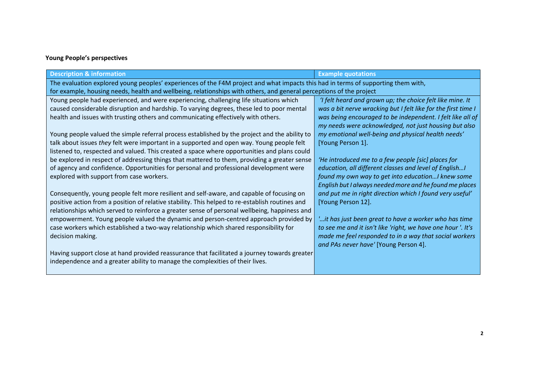## **Young People's perspectives**

| <b>Description &amp; information</b>                                                                                                                                                                                                                                                                                                                                                                                                                                                                                                                                                                                                                                                                                                                                                                                                                                                                                                                                                                                                                                                                                                                                                                                                                                                                                                                                                                                                                                                              | <b>Example quotations</b>                                                                                                                                                                                                                                                                                                                                                                                                                                                                                                                                                                                                                                                                                                                                                                                                                                                   |  |
|---------------------------------------------------------------------------------------------------------------------------------------------------------------------------------------------------------------------------------------------------------------------------------------------------------------------------------------------------------------------------------------------------------------------------------------------------------------------------------------------------------------------------------------------------------------------------------------------------------------------------------------------------------------------------------------------------------------------------------------------------------------------------------------------------------------------------------------------------------------------------------------------------------------------------------------------------------------------------------------------------------------------------------------------------------------------------------------------------------------------------------------------------------------------------------------------------------------------------------------------------------------------------------------------------------------------------------------------------------------------------------------------------------------------------------------------------------------------------------------------------|-----------------------------------------------------------------------------------------------------------------------------------------------------------------------------------------------------------------------------------------------------------------------------------------------------------------------------------------------------------------------------------------------------------------------------------------------------------------------------------------------------------------------------------------------------------------------------------------------------------------------------------------------------------------------------------------------------------------------------------------------------------------------------------------------------------------------------------------------------------------------------|--|
| The evaluation explored young peoples' experiences of the F4M project and what impacts this had in terms of supporting them with,<br>for example, housing needs, health and wellbeing, relationships with others, and general perceptions of the project                                                                                                                                                                                                                                                                                                                                                                                                                                                                                                                                                                                                                                                                                                                                                                                                                                                                                                                                                                                                                                                                                                                                                                                                                                          |                                                                                                                                                                                                                                                                                                                                                                                                                                                                                                                                                                                                                                                                                                                                                                                                                                                                             |  |
| Young people had experienced, and were experiencing, challenging life situations which<br>caused considerable disruption and hardship. To varying degrees, these led to poor mental<br>health and issues with trusting others and communicating effectively with others.<br>Young people valued the simple referral process established by the project and the ability to<br>talk about issues they felt were important in a supported and open way. Young people felt<br>listened to, respected and valued. This created a space where opportunities and plans could<br>be explored in respect of addressing things that mattered to them, providing a greater sense<br>of agency and confidence. Opportunities for personal and professional development were<br>explored with support from case workers.<br>Consequently, young people felt more resilient and self-aware, and capable of focusing on<br>positive action from a position of relative stability. This helped to re-establish routines and<br>relationships which served to reinforce a greater sense of personal wellbeing, happiness and<br>empowerment. Young people valued the dynamic and person-centred approach provided by<br>case workers which established a two-way relationship which shared responsibility for<br>decision making.<br>Having support close at hand provided reassurance that facilitated a journey towards greater<br>independence and a greater ability to manage the complexities of their lives. | 'I felt heard and grown up; the choice felt like mine. It<br>was a bit nerve wracking but I felt like for the first time I<br>was being encouraged to be independent. I felt like all of<br>my needs were acknowledged, not just housing but also<br>my emotional well-being and physical health needs'<br>[Young Person 1].<br>'He introduced me to a few people [sic] places for<br>education, all different classes and level of English!<br>found my own way to get into educationI knew some<br>English but I always needed more and he found me places<br>and put me in right direction which I found very useful'<br>[Young Person 12].<br>" it has just been great to have a worker who has time<br>to see me and it isn't like 'right, we have one hour '. It's<br>made me feel responded to in a way that social workers<br>and PAs never have' [Young Person 4]. |  |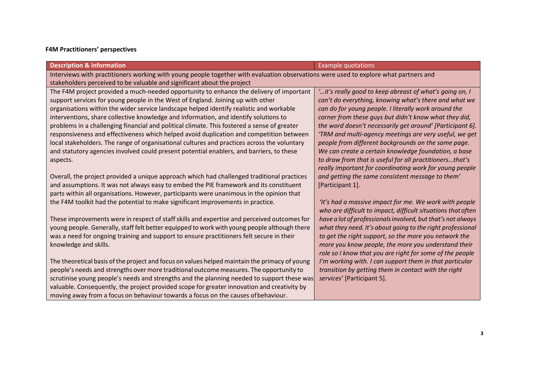### **F4M Practitioners' perspectives**

| <b>Description &amp; information</b>                                                                                                                                                                            | <b>Example quotations</b>                                    |  |
|-----------------------------------------------------------------------------------------------------------------------------------------------------------------------------------------------------------------|--------------------------------------------------------------|--|
| Interviews with practitioners working with young people together with evaluation observations were used to explore what partners and<br>stakeholders perceived to be valuable and significant about the project |                                                              |  |
| The F4M project provided a much-needed opportunity to enhance the delivery of important                                                                                                                         | 'it's really good to keep abreast of what's going on, I      |  |
| support services for young people in the West of England. Joining up with other                                                                                                                                 | can't do everything, knowing what's there and what we        |  |
| organisations within the wider service landscape helped identify realistic and workable                                                                                                                         | can do for young people. I literally work around the         |  |
| interventions, share collective knowledge and information, and identify solutions to                                                                                                                            | corner from these guys but didn't know what they did,        |  |
| problems in a challenging financial and political climate. This fostered a sense of greater                                                                                                                     | the word doesn't necessarily get around' [Participant 6].    |  |
| responsiveness and effectiveness which helped avoid duplication and competition between                                                                                                                         | 'TRM and multi-agency meetings are very useful, we get       |  |
| local stakeholders. The range of organisational cultures and practices across the voluntary                                                                                                                     | people from different backgrounds on the same page.          |  |
| and statutory agencies involved could present potential enablers, and barriers, to these                                                                                                                        | We can create a certain knowledge foundation, a base         |  |
| aspects.                                                                                                                                                                                                        | to draw from that is useful for all practitionersthat's      |  |
|                                                                                                                                                                                                                 | really important for coordinating work for young people      |  |
| Overall, the project provided a unique approach which had challenged traditional practices                                                                                                                      | and getting the same consistent message to them'             |  |
| and assumptions. It was not always easy to embed the PIE framework and its constituent                                                                                                                          | [Participant 1].                                             |  |
| parts within all organisations. However, participants were unanimous in the opinion that                                                                                                                        |                                                              |  |
| the F4M toolkit had the potential to make significant improvements in practice.                                                                                                                                 | 'It's had a massive impact for me. We work with people       |  |
|                                                                                                                                                                                                                 | who are difficult to impact, difficult situations that often |  |
| These improvements were in respect of staff skills and expertise and perceived outcomes for                                                                                                                     | have a lot of professionals involved, but that's not always  |  |
| young people. Generally, staff felt better equipped to work with young people although there                                                                                                                    | what they need. It's about going to the right professional   |  |
| was a need for ongoing training and support to ensure practitioners felt secure in their                                                                                                                        | to get the right support, so the more you network the        |  |
| knowledge and skills.                                                                                                                                                                                           | more you know people, the more you understand their          |  |
|                                                                                                                                                                                                                 | role so I know that you are right for some of the people     |  |
| The theoretical basis of the project and focus on values helped maintain the primacy of young                                                                                                                   | I'm working with. I can support them in that particular      |  |
| people's needs and strengths over more traditional outcome measures. The opportunity to                                                                                                                         | transition by getting them in contact with the right         |  |
| scrutinise young people's needs and strengths and the planning needed to support these was                                                                                                                      | services' [Participant 5].                                   |  |
| valuable. Consequently, the project provided scope for greater innovation and creativity by                                                                                                                     |                                                              |  |
| moving away from a focus on behaviour towards a focus on the causes of behaviour.                                                                                                                               |                                                              |  |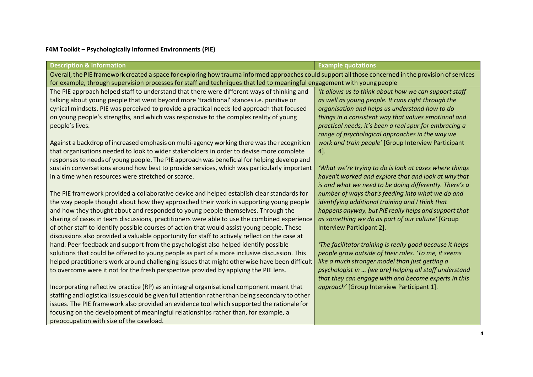## **F4M Toolkit – Psychologically Informed Environments (PIE)**

| <b>Description &amp; information</b>                                                                                                                   | <b>Example quotations</b>                                 |  |
|--------------------------------------------------------------------------------------------------------------------------------------------------------|-----------------------------------------------------------|--|
| Overall, the PIE framework created a space for exploring how trauma informed approaches could support all those concerned in the provision of services |                                                           |  |
| for example, through supervision processes for staff and techniques that led to meaningful engagement with young people                                |                                                           |  |
| The PIE approach helped staff to understand that there were different ways of thinking and                                                             | 'It allows us to think about how we can support staff     |  |
| talking about young people that went beyond more 'traditional' stances i.e. punitive or                                                                | as well as young people. It runs right through the        |  |
| cynical mindsets. PIE was perceived to provide a practical needs-led approach that focused                                                             | organisation and helps us understand how to do            |  |
| on young people's strengths, and which was responsive to the complex reality of young                                                                  | things in a consistent way that values emotional and      |  |
| people's lives.                                                                                                                                        | practical needs; it's been a real spur for embracing a    |  |
|                                                                                                                                                        | range of psychological approaches in the way we           |  |
| Against a backdrop of increased emphasis on multi-agency working there was the recognition                                                             | work and train people' [Group Interview Participant       |  |
| that organisations needed to look to wider stakeholders in order to devise more complete                                                               | $4$ ].                                                    |  |
| responses to needs of young people. The PIE approach was beneficial for helping develop and                                                            |                                                           |  |
| sustain conversations around how best to provide services, which was particularly important                                                            | 'What we're trying to do is look at cases where things    |  |
| in a time when resources were stretched or scarce.                                                                                                     | haven't worked and explore that and look at why that      |  |
|                                                                                                                                                        | is and what we need to be doing differently. There's a    |  |
| The PIE framework provided a collaborative device and helped establish clear standards for                                                             | number of ways that's feeding into what we do and         |  |
| the way people thought about how they approached their work in supporting young people                                                                 | identifying additional training and I think that          |  |
| and how they thought about and responded to young people themselves. Through the                                                                       | happens anyway, but PIE really helps and support that     |  |
| sharing of cases in team discussions, practitioners were able to use the combined experience                                                           | as something we do as part of our culture' [Group         |  |
| of other staff to identify possible courses of action that would assist young people. These                                                            | Interview Participant 2].                                 |  |
| discussions also provided a valuable opportunity for staff to actively reflect on the case at                                                          |                                                           |  |
| hand. Peer feedback and support from the psychologist also helped identify possible                                                                    | 'The facilitator training is really good because it helps |  |
| solutions that could be offered to young people as part of a more inclusive discussion. This                                                           | people grow outside of their roles. 'To me, it seems      |  |
| helped practitioners work around challenging issues that might otherwise have been difficult                                                           | like a much stronger model than just getting a            |  |
| to overcome were it not for the fresh perspective provided by applying the PIE lens.                                                                   | psychologist in  (we are) helping all staff understand    |  |
|                                                                                                                                                        | that they can engage with and become experts in this      |  |
| Incorporating reflective practice (RP) as an integral organisational component meant that                                                              | approach' [Group Interview Participant 1].                |  |
| staffing and logistical issues could be given full attention rather than being secondary to other                                                      |                                                           |  |
| issues. The PIE framework also provided an evidence tool which supported the rationale for                                                             |                                                           |  |
| focusing on the development of meaningful relationships rather than, for example, a                                                                    |                                                           |  |
| preoccupation with size of the caseload.                                                                                                               |                                                           |  |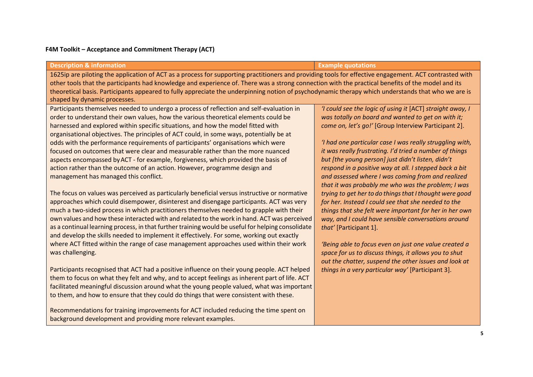#### **F4M Toolkit – Acceptance and Commitment Therapy (ACT)**

background development and providing more relevant examples.

| <b>Description &amp; information</b>                                                                                                                                                                                                                                                                                                                                                                                                                                                                                                                                                                                                                                                                                                               | <b>Example quotations</b>                                                                                                                                                                                                                                                                                                                                                                                                                                                                  |  |
|----------------------------------------------------------------------------------------------------------------------------------------------------------------------------------------------------------------------------------------------------------------------------------------------------------------------------------------------------------------------------------------------------------------------------------------------------------------------------------------------------------------------------------------------------------------------------------------------------------------------------------------------------------------------------------------------------------------------------------------------------|--------------------------------------------------------------------------------------------------------------------------------------------------------------------------------------------------------------------------------------------------------------------------------------------------------------------------------------------------------------------------------------------------------------------------------------------------------------------------------------------|--|
| 1625ip are piloting the application of ACT as a process for supporting practitioners and providing tools for effective engagement. ACT contrasted with<br>other tools that the participants had knowledge and experience of. There was a strong connection with the practical benefits of the model and its<br>theoretical basis. Participants appeared to fully appreciate the underpinning notion of psychodynamic therapy which understands that who we are is<br>shaped by dynamic processes.                                                                                                                                                                                                                                                  |                                                                                                                                                                                                                                                                                                                                                                                                                                                                                            |  |
| Participants themselves needed to undergo a process of reflection and self-evaluation in<br>order to understand their own values, how the various theoretical elements could be<br>harnessed and explored within specific situations, and how the model fitted with<br>organisational objectives. The principles of ACT could, in some ways, potentially be at<br>odds with the performance requirements of participants' organisations which were<br>focused on outcomes that were clear and measurable rather than the more nuanced<br>aspects encompassed by ACT - for example, forgiveness, which provided the basis of<br>action rather than the outcome of an action. However, programme design and<br>management has managed this conflict. | 'I could see the logic of using it [ACT] straight away, I<br>was totally on board and wanted to get on with it;<br>come on, let's go!' [Group Interview Participant 2].<br>'I had one particular case I was really struggling with,<br>it was really frustrating. I'd tried a number of things<br>but [the young person] just didn't listen, didn't<br>respond in a positive way at all. I stepped back a bit<br>and assessed where I was coming from and realized                         |  |
| The focus on values was perceived as particularly beneficial versus instructive or normative<br>approaches which could disempower, disinterest and disengage participants. ACT was very<br>much a two-sided process in which practitioners themselves needed to grapple with their<br>own values and how these interacted with and related to the work in hand. ACT was perceived<br>as a continual learning process, in that further training would be useful for helping consolidate<br>and develop the skills needed to implement it effectively. For some, working out exactly<br>where ACT fitted within the range of case management approaches used within their work<br>was challenging.                                                   | that it was probably me who was the problem; I was<br>trying to get her to do things that I thought were good<br>for her. Instead I could see that she needed to the<br>things that she felt were important for her in her own<br>way, and I could have sensible conversations around<br>that' [Participant 1].<br>'Being able to focus even on just one value created a<br>space for us to discuss things, it allows you to shut<br>out the chatter, suspend the other issues and look at |  |
| Participants recognised that ACT had a positive influence on their young people. ACT helped<br>them to focus on what they felt and why, and to accept feelings as inherent part of life. ACT<br>facilitated meaningful discussion around what the young people valued, what was important<br>to them, and how to ensure that they could do things that were consistent with these.<br>Recommendations for training improvements for ACT included reducing the time spent on                                                                                                                                                                                                                                                                        | things in a very particular way' [Participant 3].                                                                                                                                                                                                                                                                                                                                                                                                                                          |  |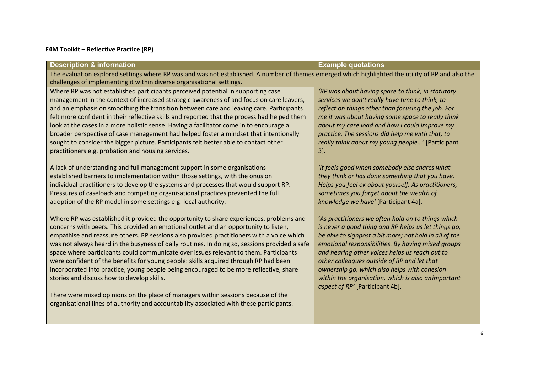### **F4M Toolkit – Reflective Practice (RP)**

| <b>Description &amp; information</b>                                                                                                                                                                                        | <b>Example quotations</b>                              |  |
|-----------------------------------------------------------------------------------------------------------------------------------------------------------------------------------------------------------------------------|--------------------------------------------------------|--|
| The evaluation explored settings where RP was and was not established. A number of themes emerged which highlighted the utility of RP and also the<br>challenges of implementing it within diverse organisational settings. |                                                        |  |
| Where RP was not established participants perceived potential in supporting case                                                                                                                                            | 'RP was about having space to think; in statutory      |  |
| management in the context of increased strategic awareness of and focus on care leavers,                                                                                                                                    | services we don't really have time to think, to        |  |
| and an emphasis on smoothing the transition between care and leaving care. Participants                                                                                                                                     | reflect on things other than focusing the job. For     |  |
| felt more confident in their reflective skills and reported that the process had helped them                                                                                                                                | me it was about having some space to really think      |  |
| look at the cases in a more holistic sense. Having a facilitator come in to encourage a                                                                                                                                     | about my case load and how I could improve my          |  |
| broader perspective of case management had helped foster a mindset that intentionally                                                                                                                                       | practice. The sessions did help me with that, to       |  |
| sought to consider the bigger picture. Participants felt better able to contact other                                                                                                                                       | really think about my young people' [Participant       |  |
| practitioners e.g. probation and housing services.                                                                                                                                                                          | $3$ .                                                  |  |
| A lack of understanding and full management support in some organisations                                                                                                                                                   | 'It feels good when somebody else shares what          |  |
| established barriers to implementation within those settings, with the onus on                                                                                                                                              | they think or has done something that you have.        |  |
| individual practitioners to develop the systems and processes that would support RP.                                                                                                                                        | Helps you feel ok about yourself. As practitioners,    |  |
| Pressures of caseloads and competing organisational practices prevented the full                                                                                                                                            | sometimes you forget about the wealth of               |  |
| adoption of the RP model in some settings e.g. local authority.                                                                                                                                                             | knowledge we have' [Participant 4a].                   |  |
| Where RP was established it provided the opportunity to share experiences, problems and                                                                                                                                     | 'As practitioners we often hold on to things which     |  |
| concerns with peers. This provided an emotional outlet and an opportunity to listen,                                                                                                                                        | is never a good thing and RP helps us let things go,   |  |
| empathise and reassure others. RP sessions also provided practitioners with a voice which                                                                                                                                   | be able to signpost a bit more; not hold in all of the |  |
| was not always heard in the busyness of daily routines. In doing so, sessions provided a safe                                                                                                                               | emotional responsibilities. By having mixed groups     |  |
| space where participants could communicate over issues relevant to them. Participants                                                                                                                                       | and hearing other voices helps us reach out to         |  |
| were confident of the benefits for young people: skills acquired through RP had been                                                                                                                                        | other colleagues outside of RP and let that            |  |
| incorporated into practice, young people being encouraged to be more reflective, share                                                                                                                                      | ownership go, which also helps with cohesion           |  |
| stories and discuss how to develop skills.                                                                                                                                                                                  | within the organisation, which is also animportant     |  |
| There were mixed opinions on the place of managers within sessions because of the                                                                                                                                           | aspect of RP' [Participant 4b].                        |  |
| organisational lines of authority and accountability associated with these participants.                                                                                                                                    |                                                        |  |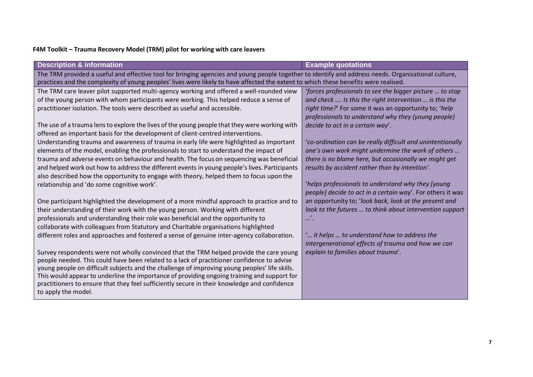## **F4M Toolkit – Trauma Recovery Model (TRM) pilot for working with care leavers**

| <b>Description &amp; information</b>                                                                                                                | <b>Example quotations</b>                                  |  |
|-----------------------------------------------------------------------------------------------------------------------------------------------------|------------------------------------------------------------|--|
| The TRM provided a useful and effective tool for bringing agencies and young people together to identify and address needs. Organisational culture, |                                                            |  |
| practices and the complexity of young peoples' lives were likely to have affected the extent to which these benefits were realised.                 |                                                            |  |
| The TRM care leaver pilot supported multi-agency working and offered a well-rounded view                                                            | 'forces professionals to see the bigger picture  to stop   |  |
| of the young person with whom participants were working. This helped reduce a sense of                                                              | and check  Is this the right intervention  is this the     |  |
| practitioner isolation. The tools were described as useful and accessible.                                                                          | right time?' For some it was an opportunity to; 'help      |  |
|                                                                                                                                                     | professionals to understand why they (young people)        |  |
| The use of a trauma lens to explore the lives of the young people that they were working with                                                       | decide to act in a certain way'.                           |  |
| offered an important basis for the development of client-centred interventions.                                                                     |                                                            |  |
| Understanding trauma and awareness of trauma in early life were highlighted as important                                                            | 'co-ordination can be really difficult and unintentionally |  |
| elements of the model, enabling the professionals to start to understand the impact of                                                              | one's own work might undermine the work of others          |  |
| trauma and adverse events on behaviour and health. The focus on sequencing was beneficial                                                           | there is no blame here, but occasionally we might get      |  |
| and helped work out how to address the different events in young people's lives. Participants                                                       | results by accident rather than by intention'.             |  |
| also described how the opportunity to engage with theory, helped them to focus upon the                                                             |                                                            |  |
| relationship and 'do some cognitive work'.                                                                                                          | 'helps professionals to understand why they [young         |  |
|                                                                                                                                                     | people] decide to act in a certain way'. For others it was |  |
| One participant highlighted the development of a more mindful approach to practice and to                                                           | an opportunity to; 'look back, look at the present and     |  |
| their understanding of their work with the young person. Working with different                                                                     | look to the futures  to think about intervention support   |  |
| professionals and understanding their role was beneficial and the opportunity to                                                                    | $\cdots$                                                   |  |
| collaborate with colleagues from Statutory and Charitable organisations highlighted                                                                 |                                                            |  |
| different roles and approaches and fostered a sense of genuine inter-agency collaboration.                                                          | " it helps  to understand how to address the               |  |
|                                                                                                                                                     | intergenerational effects of trauma and how we can         |  |
| Survey respondents were not wholly convinced that the TRM helped provide the care young                                                             | explain to families about trauma'.                         |  |
| people needed. This could have been related to a lack of practitioner confidence to advise                                                          |                                                            |  |
| young people on difficult subjects and the challenge of improving young peoples' life skills.                                                       |                                                            |  |
| This would appear to underline the importance of providing ongoing training and support for                                                         |                                                            |  |
| practitioners to ensure that they feel sufficiently secure in their knowledge and confidence                                                        |                                                            |  |
| to apply the model.                                                                                                                                 |                                                            |  |